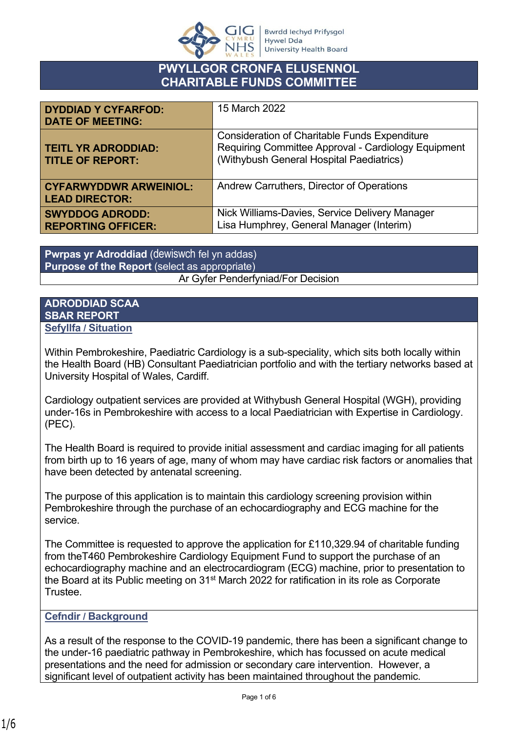

# **PWYLLGOR CRONFA ELUSENNOL CHARITABLE FUNDS COMMITTEE**

| <b>DYDDIAD Y CYFARFOD:</b><br><b>DATE OF MEETING:</b>  | 15 March 2022                                                                                                                                           |
|--------------------------------------------------------|---------------------------------------------------------------------------------------------------------------------------------------------------------|
| <b>TEITL YR ADRODDIAD:</b><br><b>TITLE OF REPORT:</b>  | <b>Consideration of Charitable Funds Expenditure</b><br>Requiring Committee Approval - Cardiology Equipment<br>(Withybush General Hospital Paediatrics) |
| <b>CYFARWYDDWR ARWEINIOL:</b><br><b>LEAD DIRECTOR:</b> | Andrew Carruthers, Director of Operations                                                                                                               |
| <b>SWYDDOG ADRODD:</b><br><b>REPORTING OFFICER:</b>    | Nick Williams-Davies, Service Delivery Manager<br>Lisa Humphrey, General Manager (Interim)                                                              |

**Pwrpas yr Adroddiad** (dewiswch fel yn addas) **Purpose of the Report** (select as appropriate) Ar Gyfer Penderfyniad/For Decision

#### **ADRODDIAD SCAA SBAR REPORT Sefyllfa / Situation**

Within Pembrokeshire, Paediatric Cardiology is a sub-speciality, which sits both locally within the Health Board (HB) Consultant Paediatrician portfolio and with the tertiary networks based at University Hospital of Wales, Cardiff.

Cardiology outpatient services are provided at Withybush General Hospital (WGH), providing under-16s in Pembrokeshire with access to a local Paediatrician with Expertise in Cardiology. (PEC).

The Health Board is required to provide initial assessment and cardiac imaging for all patients from birth up to 16 years of age, many of whom may have cardiac risk factors or anomalies that have been detected by antenatal screening.

The purpose of this application is to maintain this cardiology screening provision within Pembrokeshire through the purchase of an echocardiography and ECG machine for the service.

The Committee is requested to approve the application for £110,329.94 of charitable funding from theT460 Pembrokeshire Cardiology Equipment Fund to support the purchase of an echocardiography machine and an electrocardiogram (ECG) machine, prior to presentation to the Board at its Public meeting on 31<sup>st</sup> March 2022 for ratification in its role as Corporate Trustee.

### **Cefndir / Background**

As a result of the response to the COVID-19 pandemic, there has been a significant change to the under-16 paediatric pathway in Pembrokeshire, which has focussed on acute medical presentations and the need for admission or secondary care intervention. However, a significant level of outpatient activity has been maintained throughout the pandemic.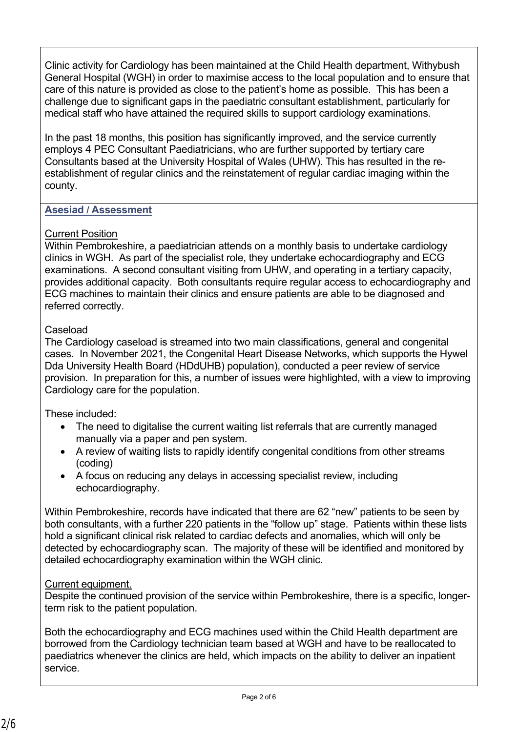Clinic activity for Cardiology has been maintained at the Child Health department, Withybush General Hospital (WGH) in order to maximise access to the local population and to ensure that care of this nature is provided as close to the patient's home as possible. This has been a challenge due to significant gaps in the paediatric consultant establishment, particularly for medical staff who have attained the required skills to support cardiology examinations.

In the past 18 months, this position has significantly improved, and the service currently employs 4 PEC Consultant Paediatricians, who are further supported by tertiary care Consultants based at the University Hospital of Wales (UHW). This has resulted in the reestablishment of regular clinics and the reinstatement of regular cardiac imaging within the county.

## **Asesiad / Assessment**

### Current Position

Within Pembrokeshire, a paediatrician attends on a monthly basis to undertake cardiology clinics in WGH. As part of the specialist role, they undertake echocardiography and ECG examinations. A second consultant visiting from UHW, and operating in a tertiary capacity, provides additional capacity. Both consultants require regular access to echocardiography and ECG machines to maintain their clinics and ensure patients are able to be diagnosed and referred correctly.

### Caseload

The Cardiology caseload is streamed into two main classifications, general and congenital cases. In November 2021, the Congenital Heart Disease Networks, which supports the Hywel Dda University Health Board (HDdUHB) population), conducted a peer review of service provision. In preparation for this, a number of issues were highlighted, with a view to improving Cardiology care for the population.

These included:

- The need to digitalise the current waiting list referrals that are currently managed manually via a paper and pen system.
- A review of waiting lists to rapidly identify congenital conditions from other streams (coding)
- A focus on reducing any delays in accessing specialist review, including echocardiography.

Within Pembrokeshire, records have indicated that there are 62 "new" patients to be seen by both consultants, with a further 220 patients in the "follow up" stage. Patients within these lists hold a significant clinical risk related to cardiac defects and anomalies, which will only be detected by echocardiography scan. The majority of these will be identified and monitored by detailed echocardiography examination within the WGH clinic.

## Current equipment.

Despite the continued provision of the service within Pembrokeshire, there is a specific, longerterm risk to the patient population.

Both the echocardiography and ECG machines used within the Child Health department are borrowed from the Cardiology technician team based at WGH and have to be reallocated to paediatrics whenever the clinics are held, which impacts on the ability to deliver an inpatient service.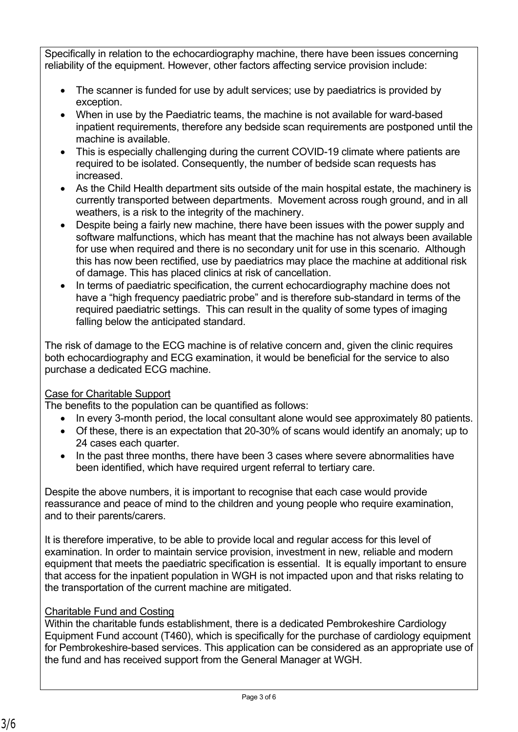Specifically in relation to the echocardiography machine, there have been issues concerning reliability of the equipment. However, other factors affecting service provision include:

- The scanner is funded for use by adult services; use by paediatrics is provided by exception.
- When in use by the Paediatric teams, the machine is not available for ward-based inpatient requirements, therefore any bedside scan requirements are postponed until the machine is available.
- This is especially challenging during the current COVID-19 climate where patients are required to be isolated. Consequently, the number of bedside scan requests has increased.
- As the Child Health department sits outside of the main hospital estate, the machinery is currently transported between departments. Movement across rough ground, and in all weathers, is a risk to the integrity of the machinery.
- Despite being a fairly new machine, there have been issues with the power supply and software malfunctions, which has meant that the machine has not always been available for use when required and there is no secondary unit for use in this scenario. Although this has now been rectified, use by paediatrics may place the machine at additional risk of damage. This has placed clinics at risk of cancellation.
- In terms of paediatric specification, the current echocardiography machine does not have a "high frequency paediatric probe" and is therefore sub-standard in terms of the required paediatric settings. This can result in the quality of some types of imaging falling below the anticipated standard.

The risk of damage to the ECG machine is of relative concern and, given the clinic requires both echocardiography and ECG examination, it would be beneficial for the service to also purchase a dedicated ECG machine.

# Case for Charitable Support

The benefits to the population can be quantified as follows:

- In every 3-month period, the local consultant alone would see approximately 80 patients.
- Of these, there is an expectation that 20-30% of scans would identify an anomaly; up to 24 cases each quarter.
- In the past three months, there have been 3 cases where severe abnormalities have been identified, which have required urgent referral to tertiary care.

Despite the above numbers, it is important to recognise that each case would provide reassurance and peace of mind to the children and young people who require examination, and to their parents/carers.

It is therefore imperative, to be able to provide local and regular access for this level of examination. In order to maintain service provision, investment in new, reliable and modern equipment that meets the paediatric specification is essential. It is equally important to ensure that access for the inpatient population in WGH is not impacted upon and that risks relating to the transportation of the current machine are mitigated.

# Charitable Fund and Costing

Within the charitable funds establishment, there is a dedicated Pembrokeshire Cardiology Equipment Fund account (T460), which is specifically for the purchase of cardiology equipment for Pembrokeshire-based services. This application can be considered as an appropriate use of the fund and has received support from the General Manager at WGH.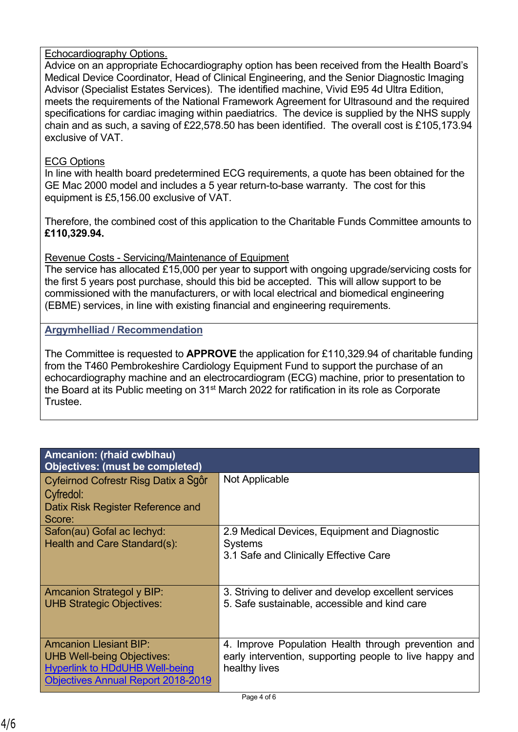### Echocardiography Options.

Advice on an appropriate Echocardiography option has been received from the Health Board's Medical Device Coordinator, Head of Clinical Engineering, and the Senior Diagnostic Imaging Advisor (Specialist Estates Services). The identified machine, Vivid E95 4d Ultra Edition, meets the requirements of the National Framework Agreement for Ultrasound and the required specifications for cardiac imaging within paediatrics. The device is supplied by the NHS supply chain and as such, a saving of £22,578.50 has been identified. The overall cost is £105,173.94 exclusive of VAT.

### ECG Options

In line with health board predetermined ECG requirements, a quote has been obtained for the GE Mac 2000 model and includes a 5 year return-to-base warranty. The cost for this equipment is £5,156.00 exclusive of VAT.

Therefore, the combined cost of this application to the Charitable Funds Committee amounts to **£110,329.94.**

### Revenue Costs - Servicing/Maintenance of Equipment

The service has allocated £15,000 per year to support with ongoing upgrade/servicing costs for the first 5 years post purchase, should this bid be accepted. This will allow support to be commissioned with the manufacturers, or with local electrical and biomedical engineering (EBME) services, in line with existing financial and engineering requirements.

### **Argymhelliad / Recommendation**

The Committee is requested to **APPROVE** the application for £110,329.94 of charitable funding from the T460 Pembrokeshire Cardiology Equipment Fund to support the purchase of an echocardiography machine and an electrocardiogram (ECG) machine, prior to presentation to the Board at its Public meeting on 31st March 2022 for ratification in its role as Corporate Trustee.

| <b>Amcanion: (rhaid cwblhau)</b><br>Objectives: (must be completed)                                                                                      |                                                                                                                                 |
|----------------------------------------------------------------------------------------------------------------------------------------------------------|---------------------------------------------------------------------------------------------------------------------------------|
| Cyfeirnod Cofrestr Risg Datix a Sgôr<br>Cyfredol:<br>Datix Risk Register Reference and<br>Score:                                                         | Not Applicable                                                                                                                  |
| Safon(au) Gofal ac lechyd:<br>Health and Care Standard(s):                                                                                               | 2.9 Medical Devices, Equipment and Diagnostic<br><b>Systems</b><br>3.1 Safe and Clinically Effective Care                       |
| <b>Amcanion Strategol y BIP:</b><br><b>UHB Strategic Objectives:</b>                                                                                     | 3. Striving to deliver and develop excellent services<br>5. Safe sustainable, accessible and kind care                          |
| <b>Amcanion Llesiant BIP:</b><br><b>UHB Well-being Objectives:</b><br><b>Hyperlink to HDdUHB Well-being</b><br><b>Objectives Annual Report 2018-2019</b> | 4. Improve Population Health through prevention and<br>early intervention, supporting people to live happy and<br>healthy lives |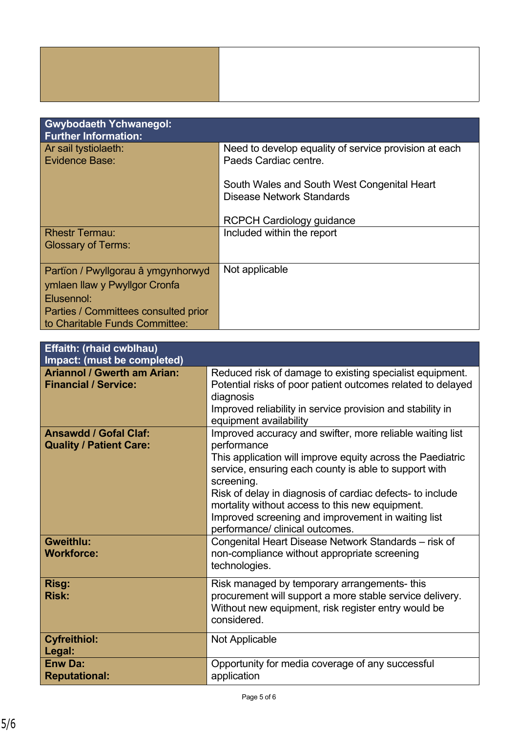| <b>Gwybodaeth Ychwanegol:</b><br><b>Further Information:</b>                                                              |                                                                                |
|---------------------------------------------------------------------------------------------------------------------------|--------------------------------------------------------------------------------|
| Ar sail tystiolaeth:<br>Evidence Base:                                                                                    | Need to develop equality of service provision at each<br>Paeds Cardiac centre. |
|                                                                                                                           | South Wales and South West Congenital Heart<br>Disease Network Standards       |
|                                                                                                                           | <b>RCPCH Cardiology guidance</b>                                               |
| <b>Rhestr Termau:</b><br><b>Glossary of Terms:</b>                                                                        | Included within the report                                                     |
| Partion / Pwyllgorau â ymgynhorwyd<br>ymlaen llaw y Pwyllgor Cronfa<br>Elusennol:<br>Parties / Committees consulted prior | Not applicable                                                                 |
| to Charitable Funds Committee:                                                                                            |                                                                                |

| <b>Effaith: (rhaid cwblhau)</b><br>Impact: (must be completed)    |                                                                                                                                                                                                                                                                                                                                                                                                                        |
|-------------------------------------------------------------------|------------------------------------------------------------------------------------------------------------------------------------------------------------------------------------------------------------------------------------------------------------------------------------------------------------------------------------------------------------------------------------------------------------------------|
| <b>Ariannol / Gwerth am Arian:</b><br><b>Financial / Service:</b> | Reduced risk of damage to existing specialist equipment.<br>Potential risks of poor patient outcomes related to delayed<br>diagnosis<br>Improved reliability in service provision and stability in<br>equipment availability                                                                                                                                                                                           |
| <b>Ansawdd / Gofal Claf:</b><br><b>Quality / Patient Care:</b>    | Improved accuracy and swifter, more reliable waiting list<br>performance<br>This application will improve equity across the Paediatric<br>service, ensuring each county is able to support with<br>screening.<br>Risk of delay in diagnosis of cardiac defects- to include<br>mortality without access to this new equipment.<br>Improved screening and improvement in waiting list<br>performance/ clinical outcomes. |
| <b>Gweithlu:</b><br><b>Workforce:</b>                             | Congenital Heart Disease Network Standards – risk of<br>non-compliance without appropriate screening<br>technologies.                                                                                                                                                                                                                                                                                                  |
| Risg:<br><b>Risk:</b>                                             | Risk managed by temporary arrangements-this<br>procurement will support a more stable service delivery.<br>Without new equipment, risk register entry would be<br>considered.                                                                                                                                                                                                                                          |
| <b>Cyfreithiol:</b><br>Legal:                                     | <b>Not Applicable</b>                                                                                                                                                                                                                                                                                                                                                                                                  |
| <b>Enw Da:</b><br><b>Reputational:</b>                            | Opportunity for media coverage of any successful<br>application                                                                                                                                                                                                                                                                                                                                                        |